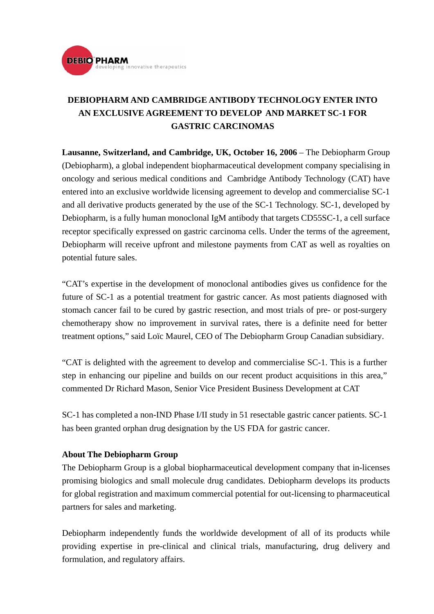

## **DEBIOPHARM AND CAMBRIDGE ANTIBODY TECHNOLOGY ENTER INTO AN EXCLUSIVE AGREEMENT TO DEVELOP AND MARKET SC-1 FOR GASTRIC CARCINOMAS**

**Lausanne, Switzerland, and Cambridge, UK, October 16, 2006** – The Debiopharm Group (Debiopharm), a global independent biopharmaceutical development company specialising in oncology and serious medical conditions and Cambridge Antibody Technology (CAT) have entered into an exclusive worldwide licensing agreement to develop and commercialise SC-1 and all derivative products generated by the use of the SC-1 Technology. SC-1, developed by Debiopharm, is a fully human monoclonal IgM antibody that targets CD55SC-1, a cell surface receptor specifically expressed on gastric carcinoma cells. Under the terms of the agreement, Debiopharm will receive upfront and milestone payments from CAT as well as royalties on potential future sales.

"CAT's expertise in the development of monoclonal antibodies gives us confidence for the future of SC-1 as a potential treatment for gastric cancer. As most patients diagnosed with stomach cancer fail to be cured by gastric resection, and most trials of pre- or post-surgery chemotherapy show no improvement in survival rates, there is a definite need for better treatment options," said Loïc Maurel, CEO of The Debiopharm Group Canadian subsidiary.

"CAT is delighted with the agreement to develop and commercialise SC-1. This is a further step in enhancing our pipeline and builds on our recent product acquisitions in this area," commented Dr Richard Mason, Senior Vice President Business Development at CAT

SC-1 has completed a non-IND Phase I/II study in 51 resectable gastric cancer patients. SC-1 has been granted orphan drug designation by the US FDA for gastric cancer.

## **About The Debiopharm Group**

The Debiopharm Group is a global biopharmaceutical development company that in-licenses promising biologics and small molecule drug candidates. Debiopharm develops its products for global registration and maximum commercial potential for out-licensing to pharmaceutical partners for sales and marketing.

Debiopharm independently funds the worldwide development of all of its products while providing expertise in pre-clinical and clinical trials, manufacturing, drug delivery and formulation, and regulatory affairs.